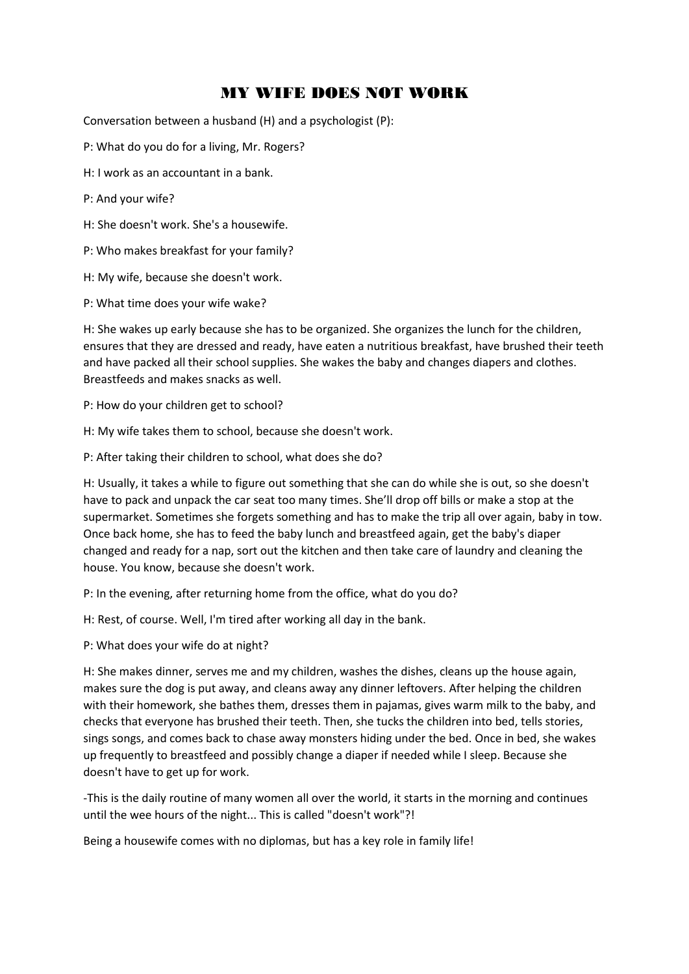## MY WIFE DOES NOT WORK

Conversation between a husband (H) and a psychologist (P):

P: What do you do for a living, Mr. Rogers?

- H: I work as an accountant in a bank.
- P: And your wife?
- H: She doesn't work. She's a housewife.
- P: Who makes breakfast for your family?
- H: My wife, because she doesn't work.
- P: What time does your wife wake?

H: She wakes up early because she has to be organized. She organizes the lunch for the children, ensures that they are dressed and ready, have eaten a nutritious breakfast, have brushed their teeth and have packed all their school supplies. She wakes the baby and changes diapers and clothes. Breastfeeds and makes snacks as well.

P: How do your children get to school?

H: My wife takes them to school, because she doesn't work.

P: After taking their children to school, what does she do?

H: Usually, it takes a while to figure out something that she can do while she is out, so she doesn't have to pack and unpack the car seat too many times. She'll drop off bills or make a stop at the supermarket. Sometimes she forgets something and has to make the trip all over again, baby in tow. Once back home, she has to feed the baby lunch and breastfeed again, get the baby's diaper changed and ready for a nap, sort out the kitchen and then take care of laundry and cleaning the house. You know, because she doesn't work.

P: In the evening, after returning home from the office, what do you do?

H: Rest, of course. Well, I'm tired after working all day in the bank.

P: What does your wife do at night?

H: She makes dinner, serves me and my children, washes the dishes, cleans up the house again, makes sure the dog is put away, and cleans away any dinner leftovers. After helping the children with their homework, she bathes them, dresses them in pajamas, gives warm milk to the baby, and checks that everyone has brushed their teeth. Then, she tucks the children into bed, tells stories, sings songs, and comes back to chase away monsters hiding under the bed. Once in bed, she wakes up frequently to breastfeed and possibly change a diaper if needed while I sleep. Because she doesn't have to get up for work.

-This is the daily routine of many women all over the world, it starts in the morning and continues until the wee hours of the night... This is called "doesn't work"?!

Being a housewife comes with no diplomas, but has a key role in family life!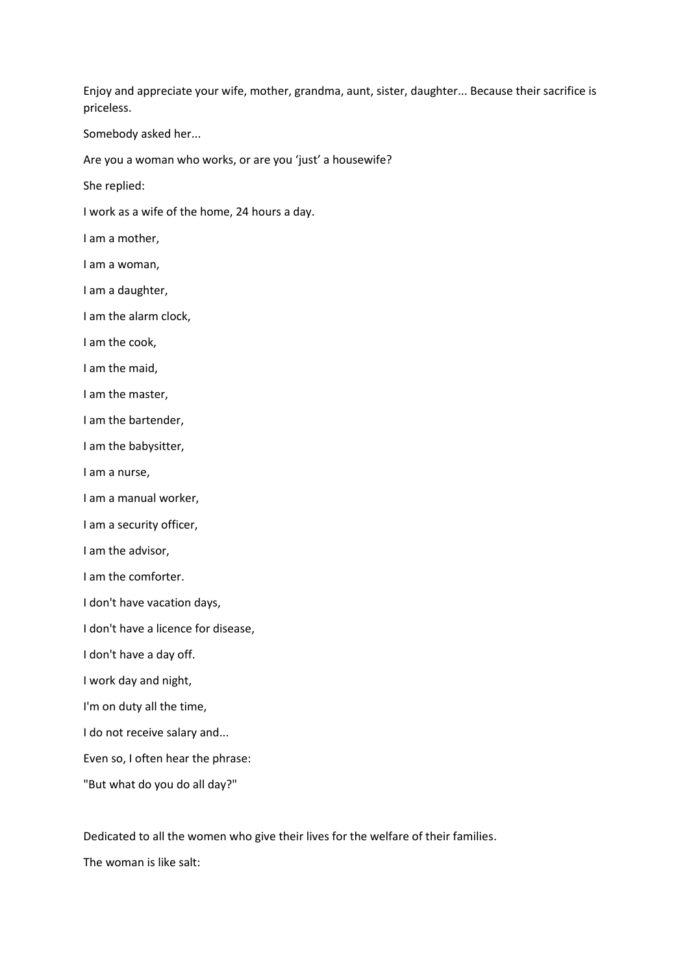Enjoy and appreciate your wife, mother, grandma, aunt, sister, daughter... Because their sacrifice is priceless.

Somebody asked her...

Are you a woman who works, or are you 'just' a housewife?

She replied:

I work as a wife of the home, 24 hours a day.

I am a mother,

I am a woman,

I am a daughter,

I am the alarm clock,

I am the cook,

I am the maid,

I am the master,

I am the bartender,

I am the babysitter,

I am a nurse,

I am a manual worker,

I am a security officer,

I am the advisor,

I am the comforter.

I don't have vacation days,

I don't have a licence for disease,

I don't have a day off.

I work day and night,

I'm on duty all the time,

I do not receive salary and...

Even so, I often hear the phrase:

"But what do you do all day?"

Dedicated to all the women who give their lives for the welfare of their families.

The woman is like salt: